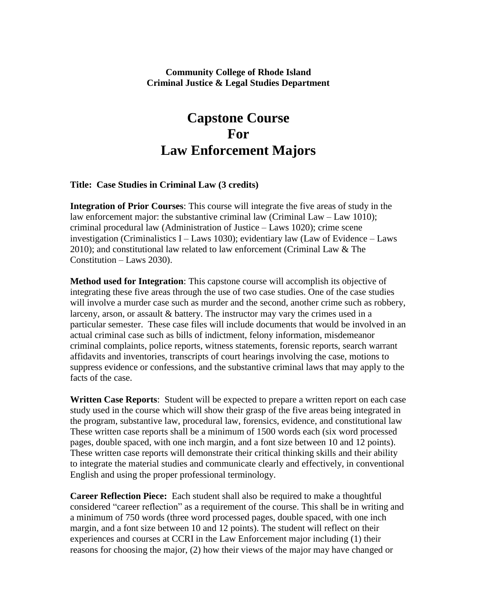## **Community College of Rhode Island Criminal Justice & Legal Studies Department**

## **Capstone Course For Law Enforcement Majors**

## **Title: Case Studies in Criminal Law (3 credits)**

**Integration of Prior Courses**: This course will integrate the five areas of study in the law enforcement major: the substantive criminal law (Criminal Law – Law 1010); criminal procedural law (Administration of Justice – Laws 1020); crime scene investigation (Criminalistics  $I -$  Laws 1030); evidentiary law (Law of Evidence – Laws 2010); and constitutional law related to law enforcement (Criminal Law & The Constitution – Laws 2030).

**Method used for Integration**: This capstone course will accomplish its objective of integrating these five areas through the use of two case studies. One of the case studies will involve a murder case such as murder and the second, another crime such as robbery, larceny, arson, or assault & battery. The instructor may vary the crimes used in a particular semester. These case files will include documents that would be involved in an actual criminal case such as bills of indictment, felony information, misdemeanor criminal complaints, police reports, witness statements, forensic reports, search warrant affidavits and inventories, transcripts of court hearings involving the case, motions to suppress evidence or confessions, and the substantive criminal laws that may apply to the facts of the case.

**Written Case Reports**: Student will be expected to prepare a written report on each case study used in the course which will show their grasp of the five areas being integrated in the program, substantive law, procedural law, forensics, evidence, and constitutional law These written case reports shall be a minimum of 1500 words each (six word processed pages, double spaced, with one inch margin, and a font size between 10 and 12 points). These written case reports will demonstrate their critical thinking skills and their ability to integrate the material studies and communicate clearly and effectively, in conventional English and using the proper professional terminology.

**Career Reflection Piece:** Each student shall also be required to make a thoughtful considered "career reflection" as a requirement of the course. This shall be in writing and a minimum of 750 words (three word processed pages, double spaced, with one inch margin, and a font size between 10 and 12 points). The student will reflect on their experiences and courses at CCRI in the Law Enforcement major including (1) their reasons for choosing the major, (2) how their views of the major may have changed or